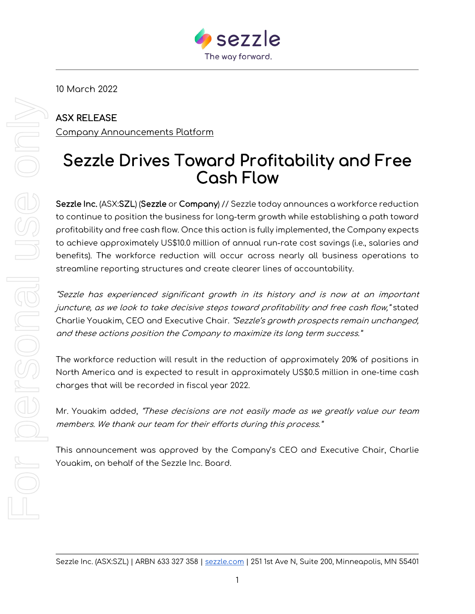

10 March 2022

## ASX RELEASE

Company Announcements Platform

## Sezzle Drives Toward Profitability and Free Cash Flow

Sezzle Inc. (ASX:SZL) (Sezzle or Company) // Sezzle today announces a workforce reduction to continue to position the business for long-term growth while establishing a path toward profitability and free cash flow. Once this action is fully implemented, the Company expects to achieve approximately US\$10.0 million of annual run-rate cost savings (i.e., salaries and benefits). The workforce reduction will occur across nearly all business operations to streamline reporting structures and create clearer lines of accountability.

"Sezzle has experienced significant growth in its history and is now at an important juncture, as we look to take decisive steps toward profitability and free cash flow," stated Charlie Youakim, CEO and Executive Chair. "Sezzle's growth prospects remain unchanged, and these actions position the Company to maximize its long term success."

The workforce reduction will result in the reduction of approximately 20% of positions in North America and is expected to result in approximately US\$0.5 million in one-time cash charges that will be recorded in fiscal year 2022.

Mr. Youakim added, "These decisions are not easily made as we greatly value our team members. We thank our team for their efforts during this process."

This announcement was approved by the Company's CEO and Executive Chair, Charlie Youakim, on behalf of the Sezzle Inc. Board.